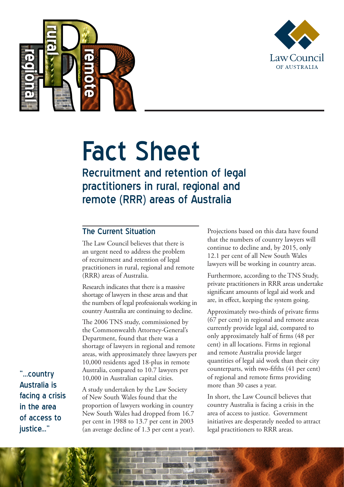



# Fact Sheet Recruitment and retention of legal

practitioners in rural, regional and remote (RRR) areas of Australia

## The Current Situation

The Law Council believes that there is an urgent need to address the problem of recruitment and retention of legal practitioners in rural, regional and remote (RRR) areas of Australia.

Research indicates that there is a massive shortage of lawyers in these areas and that the numbers of legal professionals working in country Australia are continuing to decline.

The 2006 TNS study, commissioned by the Commonwealth Attorney-General's Department, found that there was a shortage of lawyers in regional and remote areas, with approximately three lawyers per 10,000 residents aged 18-plus in remote Australia, compared to 10.7 lawyers per 10,000 in Australian capital cities.

A study undertaken by the Law Society of New South Wales found that the proportion of lawyers working in country New South Wales had dropped from 16.7 per cent in 1988 to 13.7 per cent in 2003 (an average decline of 1.3 per cent a year). Projections based on this data have found that the numbers of country lawyers will continue to decline and, by 2015, only 12.1 per cent of all New South Wales lawyers will be working in country areas.

Furthermore, according to the TNS Study, private practitioners in RRR areas undertake significant amounts of legal aid work and are, in effect, keeping the system going.

Approximately two-thirds of private firms (67 per cent) in regional and remote areas currently provide legal aid, compared to only approximately half of firms (48 per cent) in all locations. Firms in regional and remote Australia provide larger quantities of legal aid work than their city counterparts, with two-fifths (41 per cent) of regional and remote firms providing more than 30 cases a year.

In short, the Law Council believes that country Australia is facing a crisis in the area of access to justice. Government initiatives are desperately needed to attract legal practitioners to RRR areas.

"...country Australia is facing a crisis in the area of access to justice..."